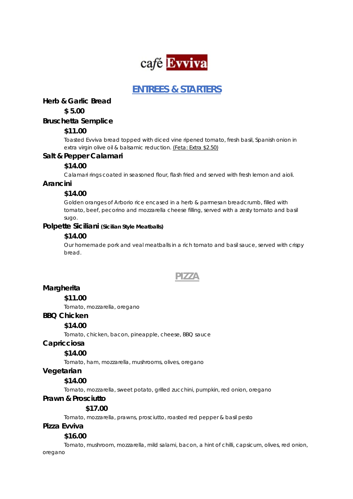

# **ENTREES & STARTERS**

**Herb & Garlic Bread**

**\$ 5.00**

## **Bruschetta Semplice**

## **\$11.00**

Toasted Evviva bread topped with diced vine ripened tomato, fresh basil, Spanish onion in extra virgin olive oil & balsamic reduction. (Feta: Extra \$2.50)

## **Salt & Pepper Calamari**

## **\$14.00**

Calamari rings coated in seasoned flour, flash fried and served with fresh lemon and aioli.

## **Arancini**

# **\$14.00**

Golden oranges of Arborio rice encased in a herb & parmesan breadcrumb, filled with tomato, beef, pecorino and mozzarella cheese filling, served with a zesty tomato and basil sugo.

## **Polpette Siciliani (Sicilian Style Meatballs)**

## **\$14.00**

Our homemade pork and veal meatballs in a rich tomato and basil sauce, served with crispy bread.

# **PIZZA**

# **Margherita**

**\$11.00** 

Tomato, mozzarella, oregano

## **BBQ Chicken**

## **\$14.00**

Tomato, chicken, bacon, pineapple, cheese, BBQ sauce

## **Capricciosa**

# **\$14.00**

Tomato, ham, mozzarella, mushrooms, olives, oregano

## **Vegetarian**

# **\$14.00**

Tomato, mozzarella, sweet potato, grilled zucchini, pumpkin, red onion, oregano

## **Prawn & Prosciutto**

## **\$17.00**

Tomato, mozzarella, prawns, prosciutto, roasted red pepper & basil pesto

## **Pizza Evviva**

## **\$16.00**

Tomato, mushroom, mozzarella, mild salami, bacon, a hint of chilli, capsicum, olives, red onion, oregano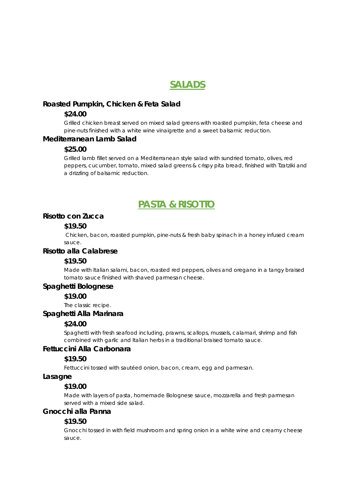# **SALADS**

#### **Roasted Pumpkin, Chicken & Feta Salad**

#### **\$24.00**

Grilled chicken breast served on mixed salad greens with roasted pumpkin, feta cheese and pine-nuts finished with a white wine vinaigrette and a sweet balsamic reduction.

#### **Mediterranean Lamb Salad**

#### **\$25.00**

Grilled lamb fillet served on a Mediterranean style salad with sundried tomato, olives, red peppers, cucumber, tomato, mixed salad greens & crispy pita bread, finished with Tzatziki and a drizzling of balsamic reduction.

# **PASTA & RISOTTO**

## **Risotto con Zucca**

#### **\$19.50**

 Chicken, bacon, roasted pumpkin, pine-nuts & fresh baby spinach in a honey infused cream sauce.

#### **Risotto alla Calabrese**

#### **\$19.50**

Made with Italian salami, bacon, roasted red peppers, olives and oregano in a tangy braised tomato sauce finished with shaved parmesan cheese.

#### **Spaghetti Bolognese**

#### **\$19.00**

The classic recipe.

#### **Spaghetti Alla Marinara**

#### **\$24.00**

Spaghetti with fresh seafood including, prawns, scallops, mussels, calamari, shrimp and fish combined with garlic and Italian herbs in a traditional braised tomato sauce.

#### **Fettuccini Alla Carbonara**

#### **\$19.50**

Fettuccini tossed with sautéed onion, bacon, cream, egg and parmesan.

#### **Lasagne**

## **\$19.00**

Made with layers of pasta, homemade Bolognese sauce, mozzarella and fresh parmesan served with a mixed side salad.

## **Gnocchi alla Panna**

## **\$19.50**

Gnocchi tossed in with field mushroom and spring onion in a white wine and creamy cheese sauce.